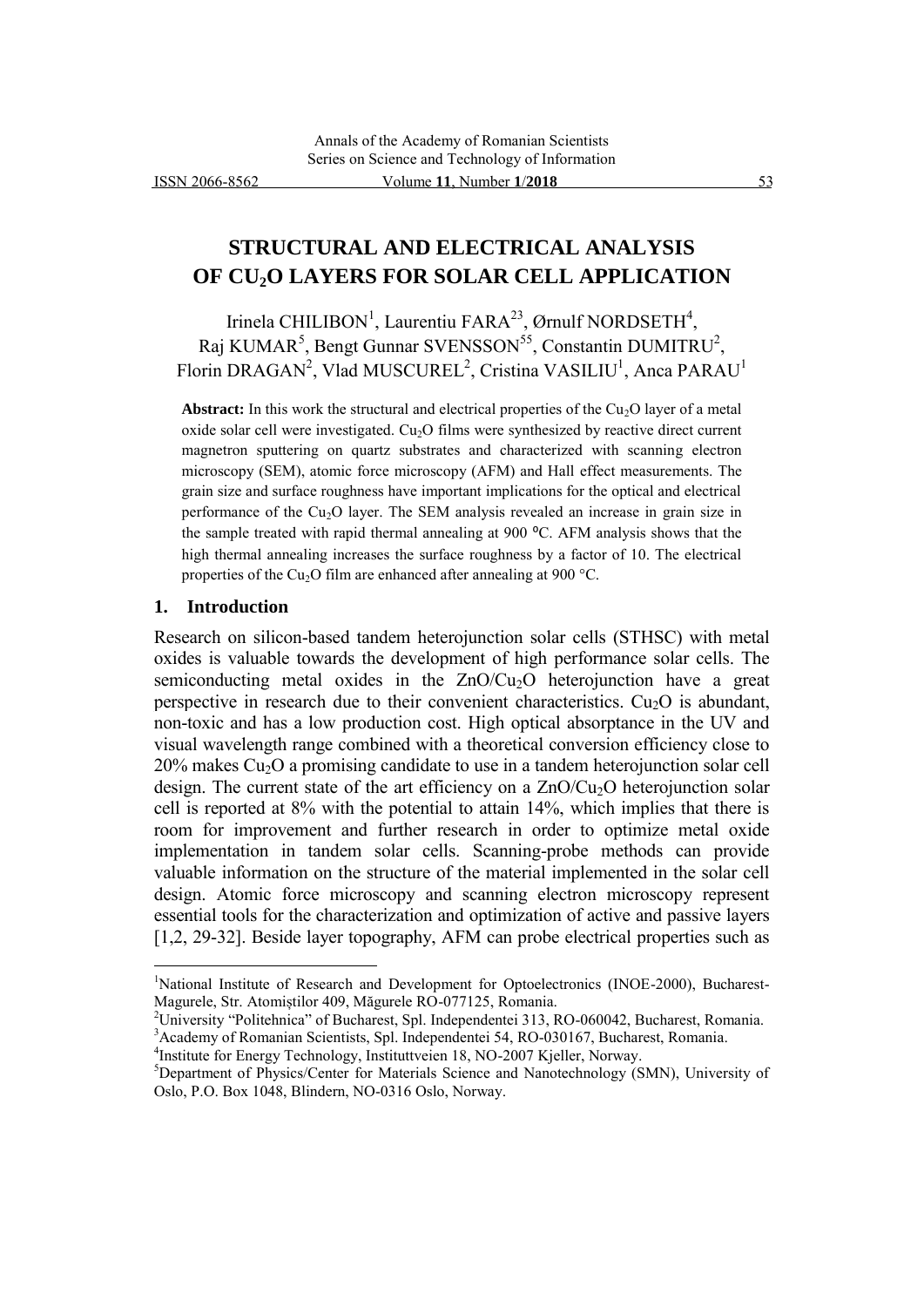# **STRUCTURAL AND ELECTRICAL ANALYSIS OF CU2O LAYERS FOR SOLAR CELL APPLICATION**

Irinela CHILIBON<sup>1</sup>, Laurentiu FARA<sup>23</sup>, Ørnulf NORDSETH<sup>4</sup>, Raj KUMAR<sup>5</sup>, Bengt Gunnar SVENSSON<sup>55</sup>, Constantin DUMITRU<sup>2</sup>, Florin DRAGAN<sup>2</sup>, Vlad MUSCUREL<sup>2</sup>, Cristina VASILIU<sup>1</sup>, Anca PARAU<sup>1</sup>

**Abstract:** In this work the structural and electrical properties of the  $Cu<sub>2</sub>O$  layer of a metal oxide solar cell were investigated.  $Cu<sub>2</sub>O$  films were synthesized by reactive direct current magnetron sputtering on quartz substrates and characterized with scanning electron microscopy (SEM), atomic force microscopy (AFM) and Hall effect measurements. The grain size and surface roughness have important implications for the optical and electrical performance of the  $Cu<sub>2</sub>O$  layer. The SEM analysis revealed an increase in grain size in the sample treated with rapid thermal annealing at 900 °C. AFM analysis shows that the high thermal annealing increases the surface roughness by a factor of 10. The electrical properties of the Cu<sub>2</sub>O film are enhanced after annealing at 900 °C.

#### **1. Introduction**

 $\overline{a}$ 

Research on silicon-based tandem heterojunction solar cells (STHSC) with metal oxides is valuable towards the development of high performance solar cells. The semiconducting metal oxides in the ZnO/Cu<sub>2</sub>O heterojunction have a great perspective in research due to their convenient characteristics.  $Cu<sub>2</sub>O$  is abundant, non-toxic and has a low production cost. High optical absorptance in the UV and visual wavelength range combined with a theoretical conversion efficiency close to  $20\%$  makes Cu<sub>2</sub>O a promising candidate to use in a tandem heterojunction solar cell design. The current state of the art efficiency on a  $ZnO/Cu<sub>2</sub>O$  heterojunction solar cell is reported at 8% with the potential to attain 14%, which implies that there is room for improvement and further research in order to optimize metal oxide implementation in tandem solar cells. Scanning-probe methods can provide valuable information on the structure of the material implemented in the solar cell design. Atomic force microscopy and scanning electron microscopy represent essential tools for the characterization and optimization of active and passive layers [1,2, 29-32]. Beside layer topography, AFM can probe electrical properties such as

<sup>&</sup>lt;sup>1</sup>National Institute of Research and Development for Optoelectronics (INOE-2000), Bucharest-Magurele, Str. Atomiștilor 409, Măgurele RO-077125, Romania.

<sup>2</sup>University "Politehnica" of Bucharest, Spl. Independentei 313, RO-060042, Bucharest, Romania. <sup>3</sup>Academy of Romanian Scientists, Spl. Independentei 54, RO-030167, Bucharest, Romania.

<sup>4</sup> Institute for Energy Technology, Instituttveien 18, NO-2007 Kjeller, Norway.

<sup>5</sup>Department of Physics/Center for Materials Science and Nanotechnology (SMN), University of Oslo, P.O. Box 1048, Blindern, NO-0316 Oslo, Norway.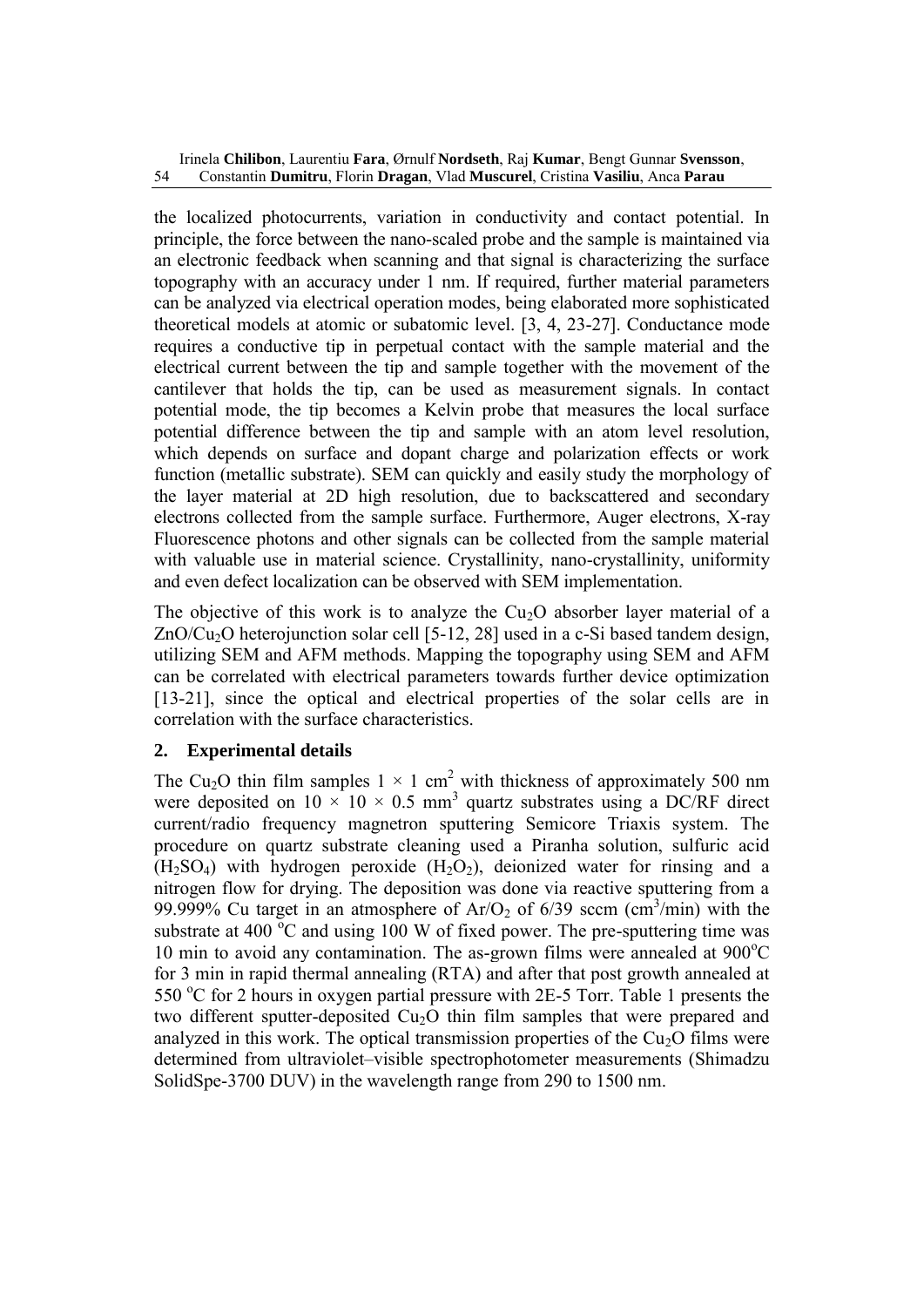the localized photocurrents, variation in conductivity and contact potential. In principle, the force between the nano-scaled probe and the sample is maintained via an electronic feedback when scanning and that signal is characterizing the surface topography with an accuracy under 1 nm. If required, further material parameters can be analyzed via electrical operation modes, being elaborated more sophisticated theoretical models at atomic or subatomic level. [3, 4, 23-27]. Conductance mode requires a conductive tip in perpetual contact with the sample material and the electrical current between the tip and sample together with the movement of the cantilever that holds the tip, can be used as measurement signals. In contact potential mode, the tip becomes a Kelvin probe that measures the local surface potential difference between the tip and sample with an atom level resolution, which depends on surface and dopant charge and polarization effects or work function (metallic substrate). SEM can quickly and easily study the morphology of the layer material at 2D high resolution, due to backscattered and secondary electrons collected from the sample surface. Furthermore, Auger electrons, X-ray Fluorescence photons and other signals can be collected from the sample material with valuable use in material science. Crystallinity, nano-crystallinity, uniformity and even defect localization can be observed with SEM implementation.

The objective of this work is to analyze the  $Cu<sub>2</sub>O$  absorber layer material of a ZnO/Cu<sub>2</sub>O heterojunction solar cell [5-12, 28] used in a c-Si based tandem design, utilizing SEM and AFM methods. Mapping the topography using SEM and AFM can be correlated with electrical parameters towards further device optimization [13-21], since the optical and electrical properties of the solar cells are in correlation with the surface characteristics.

# **2. Experimental details**

The Cu<sub>2</sub>O thin film samples  $1 \times 1$  cm<sup>2</sup> with thickness of approximately 500 nm were deposited on  $10 \times 10 \times 0.5$  mm<sup>3</sup> quartz substrates using a DC/RF direct current/radio frequency magnetron sputtering Semicore Triaxis system. The procedure on quartz substrate cleaning used a Piranha solution, sulfuric acid  $(H<sub>2</sub>SO<sub>4</sub>)$  with hydrogen peroxide  $(H<sub>2</sub>O<sub>2</sub>)$ , deionized water for rinsing and a nitrogen flow for drying. The deposition was done via reactive sputtering from a 99.999% Cu target in an atmosphere of  $Ar/O_2$  of 6/39 sccm (cm<sup>3</sup>/min) with the substrate at 400  $\degree$ C and using 100 W of fixed power. The pre-sputtering time was 10 min to avoid any contamination. The as-grown films were annealed at  $900^{\circ}$ C for 3 min in rapid thermal annealing (RTA) and after that post growth annealed at 550  $\degree$ C for 2 hours in oxygen partial pressure with 2E-5 Torr. Table 1 presents the two different sputter-deposited  $Cu<sub>2</sub>O$  thin film samples that were prepared and analyzed in this work. The optical transmission properties of the  $Cu<sub>2</sub>O$  films were determined from ultraviolet–visible spectrophotometer measurements (Shimadzu SolidSpe-3700 DUV) in the wavelength range from 290 to 1500 nm.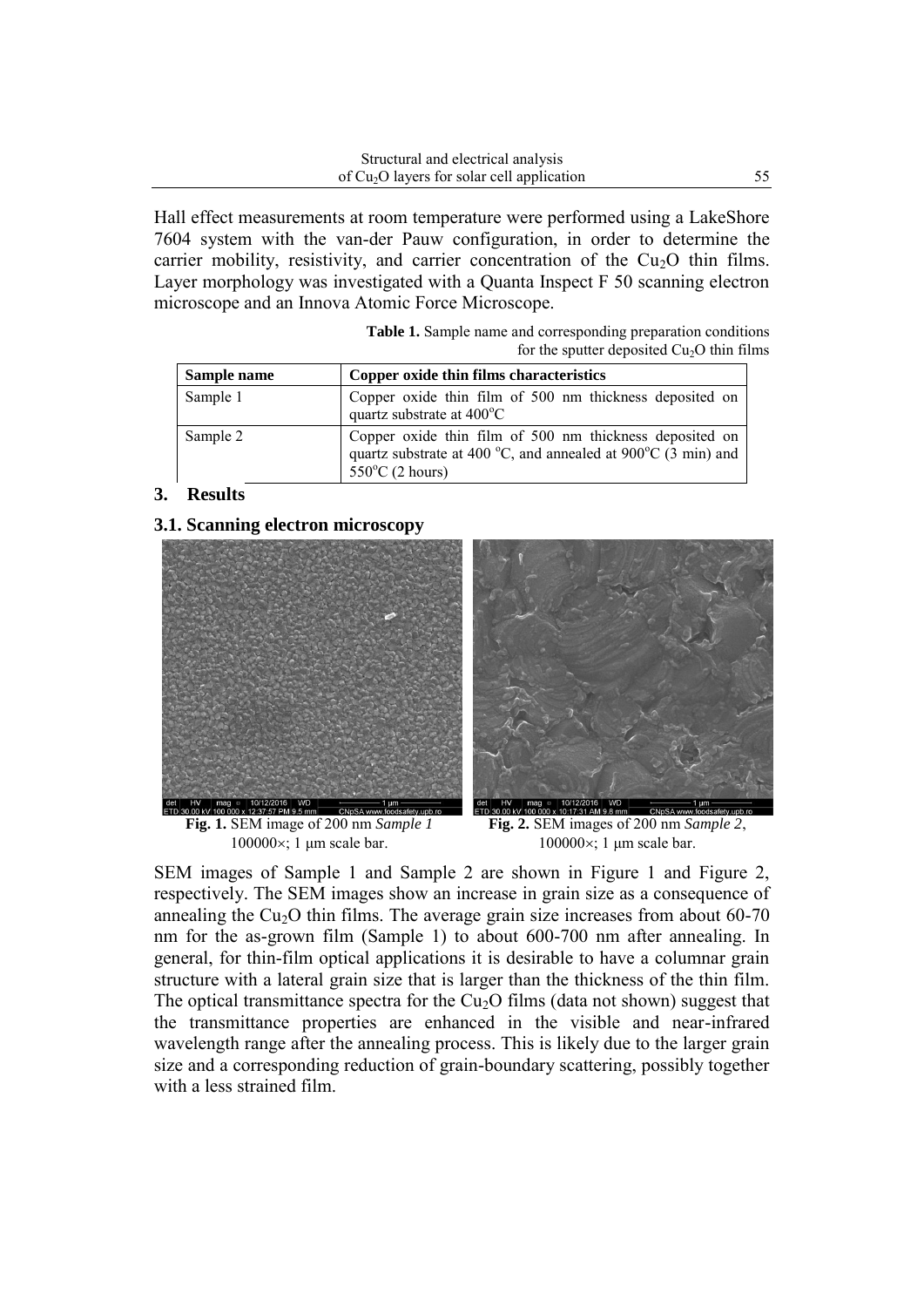Hall effect measurements at room temperature were performed using a LakeShore 7604 system with the van-der Pauw configuration, in order to determine the carrier mobility, resistivity, and carrier concentration of the  $Cu<sub>2</sub>O$  thin films. Layer morphology was investigated with a Quanta Inspect F 50 scanning electron microscope and an Innova Atomic Force Microscope.

**Table 1.** Sample name and corresponding preparation conditions for the sputter deposited  $Cu<sub>2</sub>O$  thin films

| Sample name | Copper oxide thin films characteristics                                                                                                               |  |  |
|-------------|-------------------------------------------------------------------------------------------------------------------------------------------------------|--|--|
| Sample 1    | Copper oxide thin film of 500 nm thickness deposited on<br>quartz substrate at 400°C                                                                  |  |  |
| Sample 2    | Copper oxide thin film of 500 nm thickness deposited on<br>quartz substrate at 400 °C, and annealed at 900°C (3 min) and<br>$550^{\circ}$ C (2 hours) |  |  |

## **3. Results**

### **3.1. Scanning electron microscopy**



**Fig. 1.** SEM image of 200 nm *Sample 1*  $100000\times$ ; 1  $\mu$ m scale bar.



**Fig. 2.** SEM images of 200 nm *Sample 2*,  $100000\times$ ; 1  $\mu$ m scale bar.

SEM images of Sample 1 and Sample 2 are shown in Figure 1 and Figure 2, respectively. The SEM images show an increase in grain size as a consequence of annealing the  $Cu<sub>2</sub>O$  thin films. The average grain size increases from about 60-70 nm for the as-grown film (Sample 1) to about 600-700 nm after annealing. In general, for thin-film optical applications it is desirable to have a columnar grain structure with a lateral grain size that is larger than the thickness of the thin film. The optical transmittance spectra for the  $Cu<sub>2</sub>O$  films (data not shown) suggest that the transmittance properties are enhanced in the visible and near-infrared wavelength range after the annealing process. This is likely due to the larger grain size and a corresponding reduction of grain-boundary scattering, possibly together with a less strained film.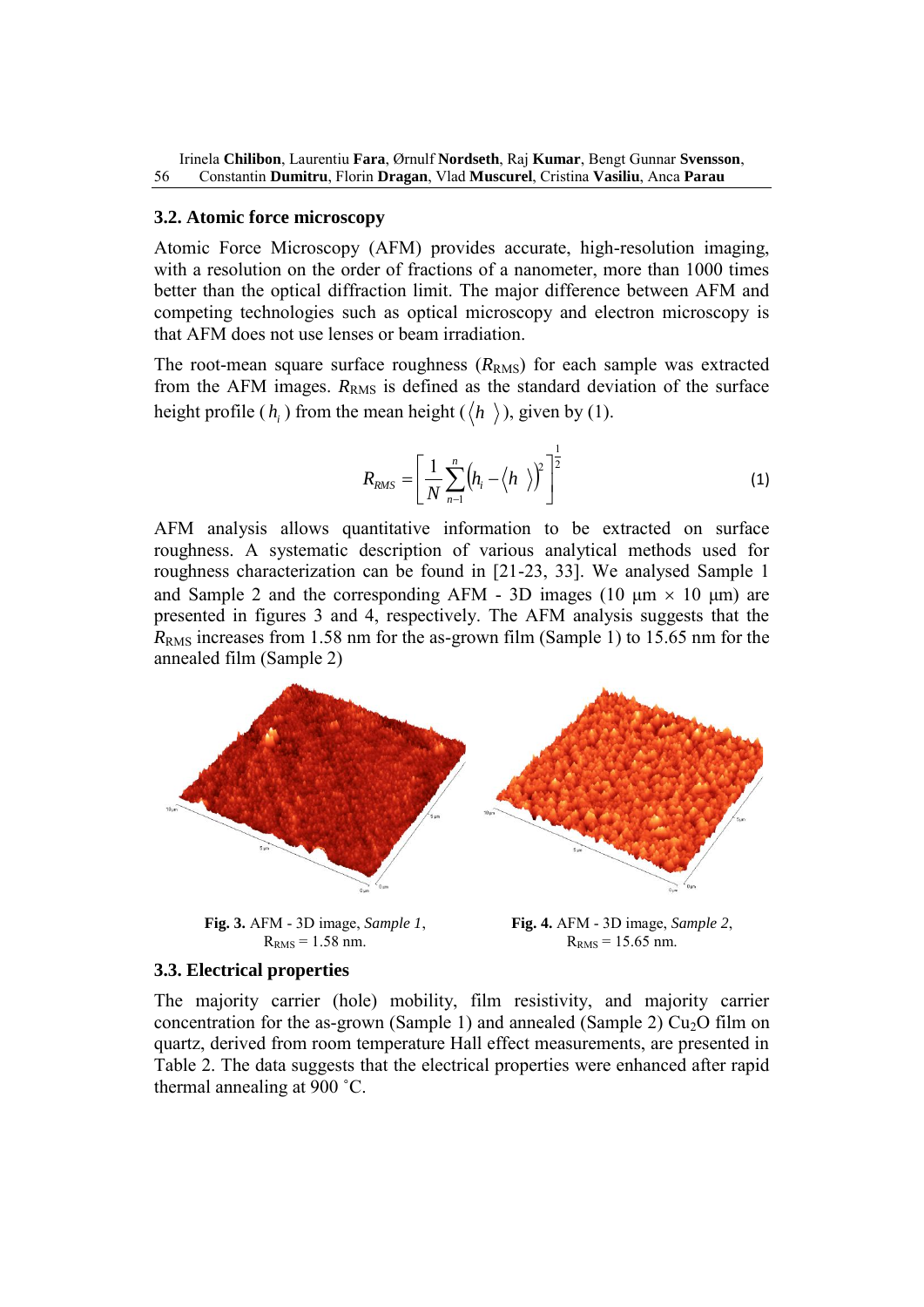#### **3.2. Atomic force microscopy**

Atomic Force Microscopy (AFM) provides accurate, high-resolution imaging, with a resolution on the order of fractions of a nanometer, more than 1000 times better than the optical diffraction limit. The major difference between AFM and competing technologies such as optical microscopy and electron microscopy is that AFM does not use lenses or beam irradiation.

The root-mean square surface roughness  $(R_{RMS})$  for each sample was extracted from the AFM images.  $R_{RMS}$  is defined as the standard deviation of the surface height profile  $(h_i)$  from the mean height  $(\langle h \rangle)$ , given by (1).

$$
R_{RMS} = \left[\frac{1}{N} \sum_{n=1}^{n} \left(h_i - \left\langle h \right\rangle\right)^2\right]^{\frac{1}{2}}
$$
 (1)

AFM analysis allows quantitative information to be extracted on surface roughness. A systematic description of various analytical methods used for roughness characterization can be found in [21-23, 33]. We analysed Sample 1 and Sample 2 and the corresponding AFM - 3D images (10  $\mu$ m  $\times$  10  $\mu$ m) are presented in figures 3 and 4, respectively. The AFM analysis suggests that the *R*<sub>RMS</sub> increases from 1.58 nm for the as-grown film (Sample 1) to 15.65 nm for the annealed film (Sample 2)



**Fig. 3.** AFM - 3D image, *Sample 1*,  $R_{RMS} = 1.58$  nm.

**Fig. 4.** AFM - 3D image, *Sample 2*,  $R<sub>RMS</sub> = 15.65$  nm.

#### **3.3. Electrical properties**

The majority carrier (hole) mobility, film resistivity, and majority carrier concentration for the as-grown (Sample 1) and annealed (Sample 2)  $Cu<sub>2</sub>O$  film on quartz, derived from room temperature Hall effect measurements, are presented in Table 2. The data suggests that the electrical properties were enhanced after rapid thermal annealing at 900 ˚C.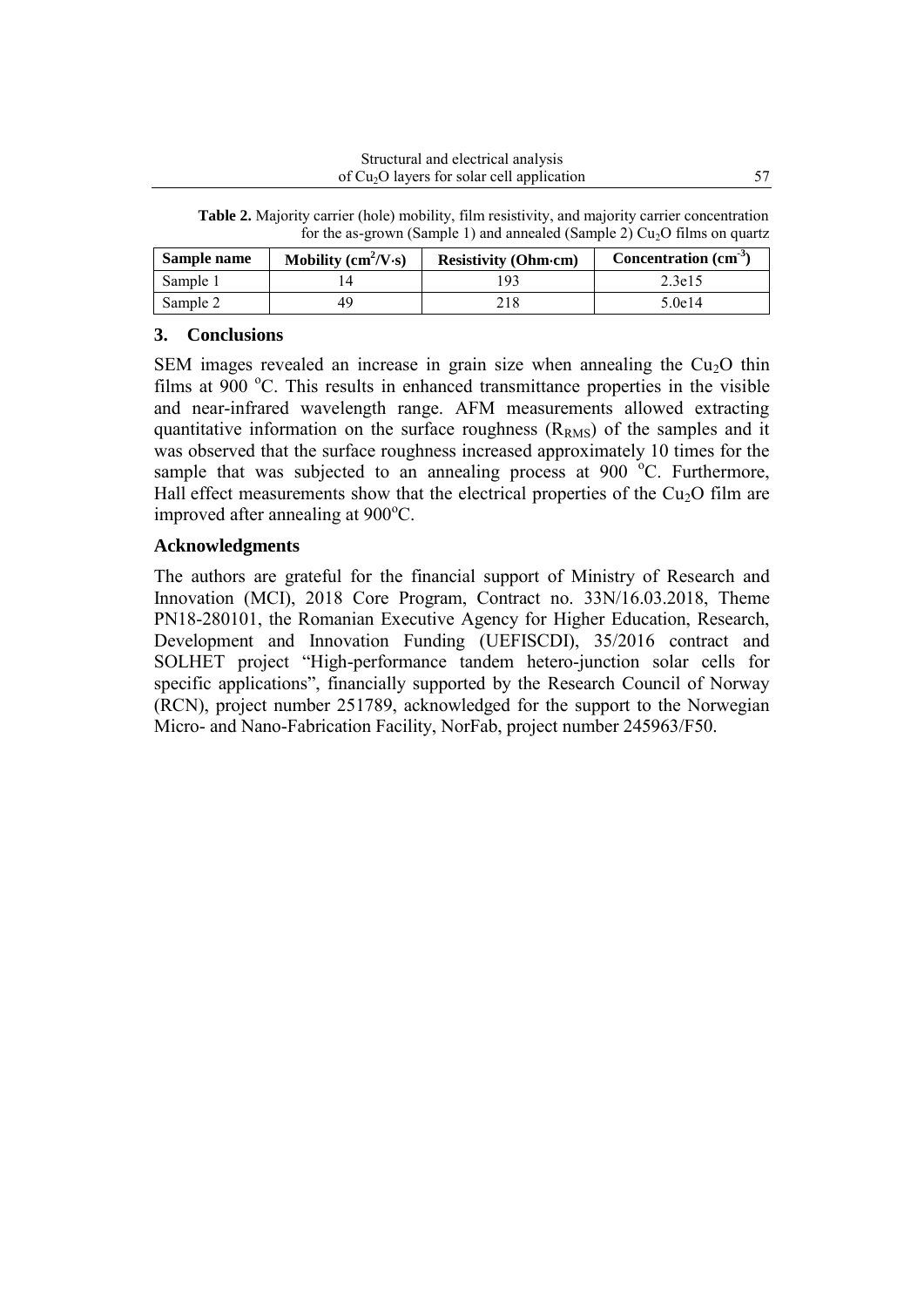|  | for the as-grown (Sample 1) and annealed (Sample 2) $Cu2O$ films on quartz                             |  |  |
|--|--------------------------------------------------------------------------------------------------------|--|--|
|  | <b>Table 2.</b> Majority carrier (hole) mobility, film resistivity, and majority carrier concentration |  |  |

| Sample name | Mobility $\text{cm}^2/\text{V}\cdot\text{s}$ | <b>Resistivity (Ohm-cm)</b> | Concentration (cm <sup>-3</sup> ) |
|-------------|----------------------------------------------|-----------------------------|-----------------------------------|
| Sample 1    |                                              |                             | 2.3e15                            |
| Sample 2    |                                              |                             | 5.0e14                            |

## **3. Conclusions**

SEM images revealed an increase in grain size when annealing the  $Cu<sub>2</sub>O$  thin films at 900 $\degree$ C. This results in enhanced transmittance properties in the visible and near-infrared wavelength range. AFM measurements allowed extracting quantitative information on the surface roughness  $(R<sub>RMS</sub>)$  of the samples and it was observed that the surface roughness increased approximately 10 times for the sample that was subjected to an annealing process at  $900\text{ °C}$ . Furthermore, Hall effect measurements show that the electrical properties of the  $Cu<sub>2</sub>O$  film are improved after annealing at  $900^{\circ}$ C.

#### **Acknowledgments**

The authors are grateful for the financial support of Ministry of Research and Innovation (MCI), 2018 Core Program, Contract no. 33N/16.03.2018, Theme PN18-280101, the Romanian Executive Agency for Higher Education, Research, Development and Innovation Funding (UEFISCDI), 35/2016 contract and SOLHET project "High-performance tandem hetero-junction solar cells for specific applications", financially supported by the Research Council of Norway (RCN), project number 251789, acknowledged for the support to the Norwegian Micro- and Nano-Fabrication Facility, NorFab, project number 245963/F50.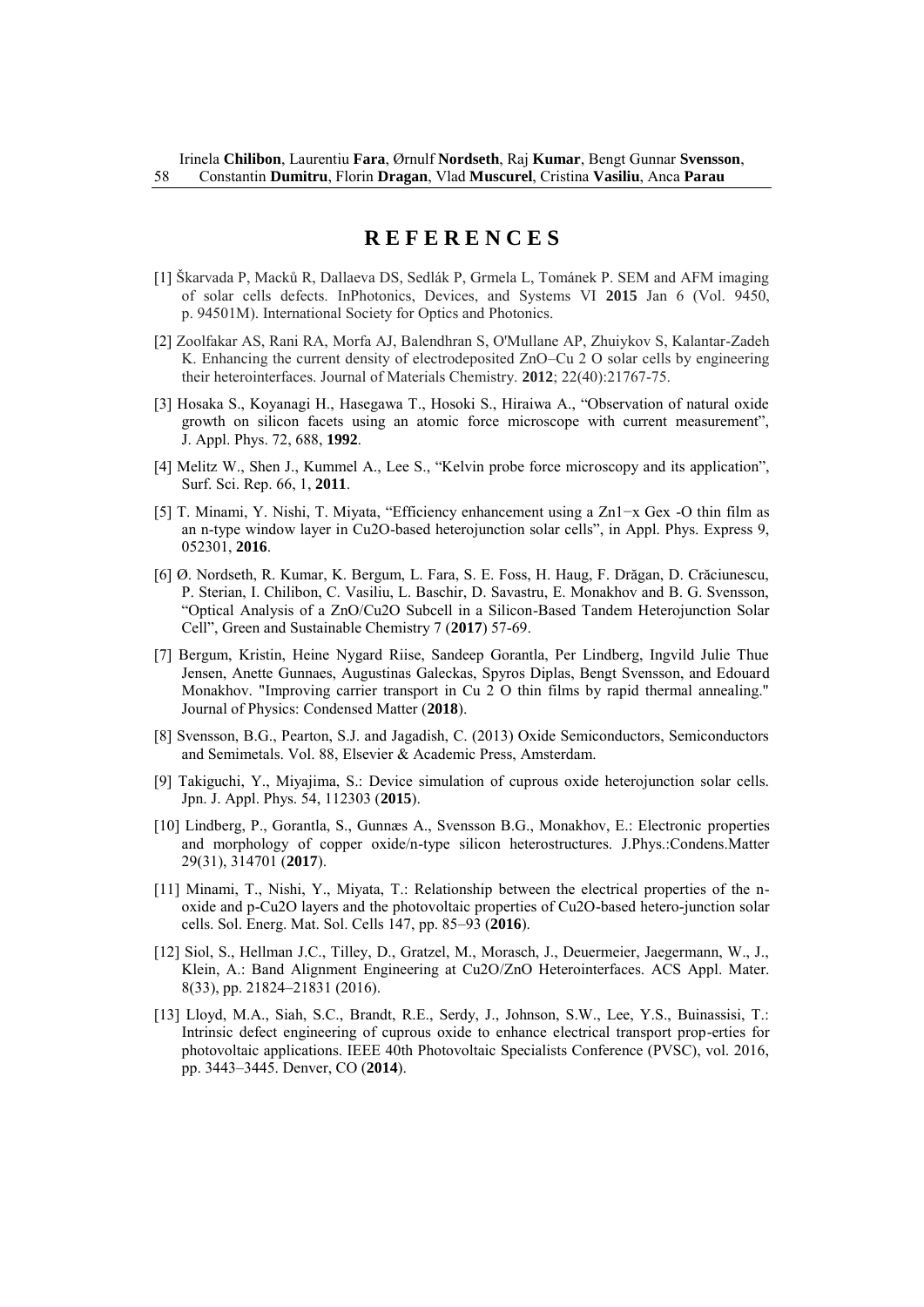# **R E F E R E N C E S**

- [1] Škarvada P, Macků R, Dallaeva DS, Sedlák P, Grmela L, Tománek P. SEM and AFM imaging of solar cells defects. InPhotonics, Devices, and Systems VI **2015** Jan 6 (Vol. 9450, p. 94501M). International Society for Optics and Photonics.
- [2] Zoolfakar AS, Rani RA, Morfa AJ, Balendhran S, O'Mullane AP, Zhuiykov S, Kalantar-Zadeh K. Enhancing the current density of electrodeposited ZnO–Cu 2 O solar cells by engineering their heterointerfaces. Journal of Materials Chemistry. **2012**; 22(40):21767-75.
- [3] Hosaka S., Koyanagi H., Hasegawa T., Hosoki S., Hiraiwa A., "Observation of natural oxide growth on silicon facets using an atomic force microscope with current measurement", J. Appl. Phys. 72, 688, **1992**.
- [4] Melitz W., Shen J., Kummel A., Lee S., "Kelvin probe force microscopy and its application", Surf. Sci. Rep. 66, 1, **2011**.
- [5] T. Minami, Y. Nishi, T. Miyata, "Efficiency enhancement using a Zn1−x Gex -O thin film as an n-type window layer in Cu2O-based heterojunction solar cells", in Appl. Phys. Express 9, 052301, **2016**.
- [6] Ø. Nordseth, R. Kumar, K. Bergum, L. Fara, S. E. Foss, H. Haug, F. Drăgan, D. Crăciunescu, P. Sterian, I. Chilibon, C. Vasiliu, L. Baschir, D. Savastru, E. Monakhov and B. G. Svensson, "Optical Analysis of a ZnO/Cu2O Subcell in a Silicon-Based Tandem Heterojunction Solar Cell", Green and Sustainable Chemistry 7 (**2017**) 57-69.
- [7] Bergum, Kristin, Heine Nygard Riise, Sandeep Gorantla, Per Lindberg, Ingvild Julie Thue Jensen, Anette Gunnaes, Augustinas Galeckas, Spyros Diplas, Bengt Svensson, and Edouard Monakhov. "Improving carrier transport in Cu 2 O thin films by rapid thermal annealing." Journal of Physics: Condensed Matter (**2018**).
- [8] Svensson, B.G., Pearton, S.J. and Jagadish, C. (2013) Oxide Semiconductors, Semiconductors and Semimetals. Vol. 88, Elsevier & Academic Press, Amsterdam.
- [9] Takiguchi, Y., Miyajima, S.: Device simulation of cuprous oxide heterojunction solar cells. Jpn. J. Appl. Phys. 54, 112303 (**2015**).
- [10] Lindberg, P., Gorantla, S., Gunnæs A., Svensson B.G., Monakhov, E.: Electronic properties and morphology of copper oxide/n-type silicon heterostructures. J.Phys.:Condens.Matter 29(31), 314701 (**2017**).
- [11] Minami, T., Nishi, Y., Miyata, T.: Relationship between the electrical properties of the noxide and p-Cu2O layers and the photovoltaic properties of Cu2O-based hetero-junction solar cells. Sol. Energ. Mat. Sol. Cells 147, pp. 85–93 (**2016**).
- [12] Siol, S., Hellman J.C., Tilley, D., Gratzel, M., Morasch, J., Deuermeier, Jaegermann, W., J., Klein, A.: Band Alignment Engineering at Cu2O/ZnO Heterointerfaces. ACS Appl. Mater. 8(33), pp. 21824–21831 (2016).
- [13] Lloyd, M.A., Siah, S.C., Brandt, R.E., Serdy, J., Johnson, S.W., Lee, Y.S., Buinassisi, T.: Intrinsic defect engineering of cuprous oxide to enhance electrical transport prop-erties for photovoltaic applications. IEEE 40th Photovoltaic Specialists Conference (PVSC), vol. 2016, pp. 3443–3445. Denver, CO (**2014**).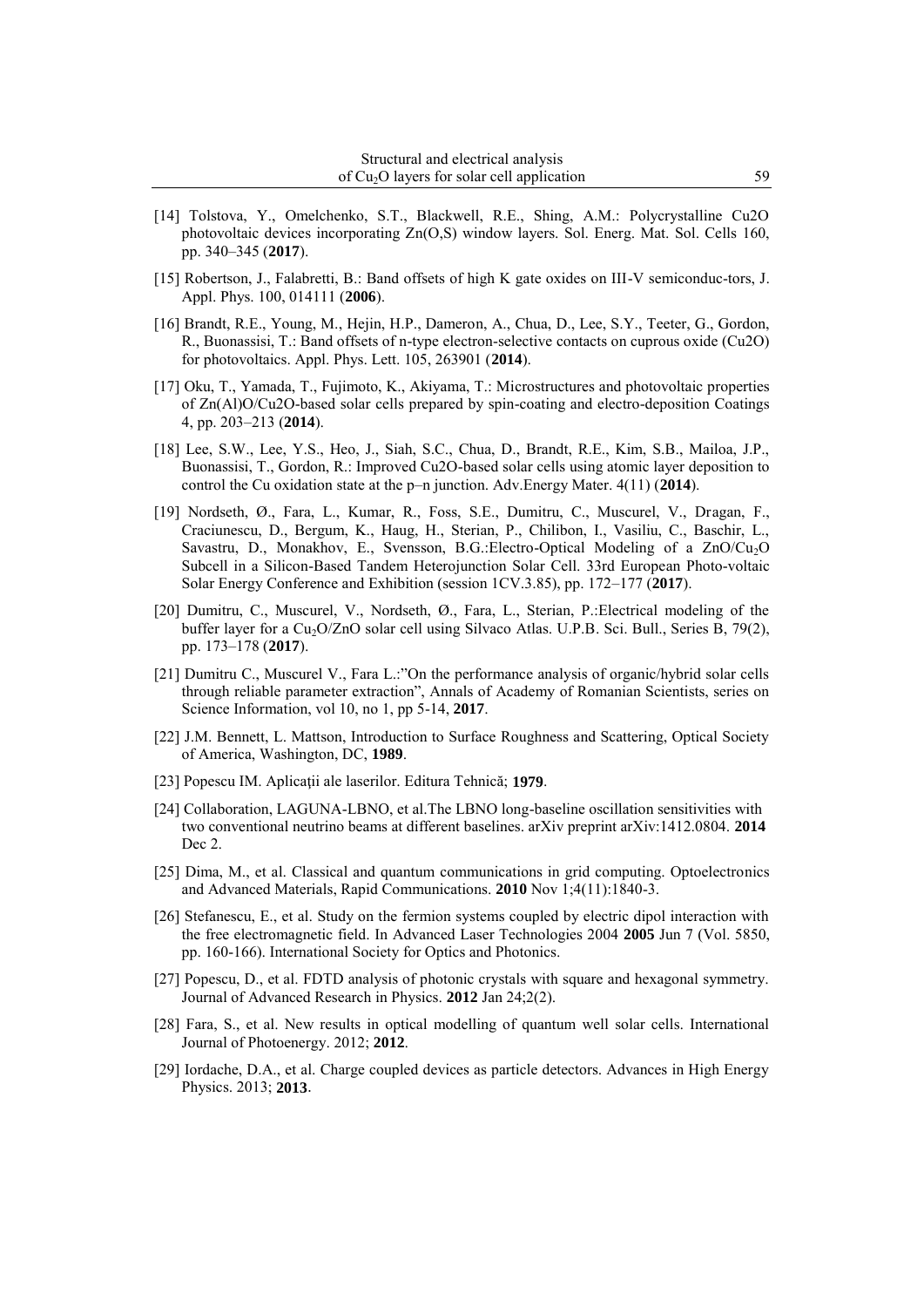- [14] Tolstova, Y., Omelchenko, S.T., Blackwell, R.E., Shing, A.M.: Polycrystalline Cu2O photovoltaic devices incorporating Zn(O,S) window layers. Sol. Energ. Mat. Sol. Cells 160, pp. 340–345 (**2017**).
- [15] Robertson, J., Falabretti, B.: Band offsets of high K gate oxides on III-V semiconduc-tors, J. Appl. Phys. 100, 014111 (**2006**).
- [16] Brandt, R.E., Young, M., Hejin, H.P., Dameron, A., Chua, D., Lee, S.Y., Teeter, G., Gordon, R., Buonassisi, T.: Band offsets of n-type electron-selective contacts on cuprous oxide (Cu2O) for photovoltaics. Appl. Phys. Lett. 105, 263901 (**2014**).
- [17] Oku, T., Yamada, T., Fujimoto, K., Akiyama, T.: Microstructures and photovoltaic properties of Zn(Al)O/Cu2O-based solar cells prepared by spin-coating and electro-deposition Coatings 4, pp. 203–213 (**2014**).
- [18] Lee, S.W., Lee, Y.S., Heo, J., Siah, S.C., Chua, D., Brandt, R.E., Kim, S.B., Mailoa, J.P., Buonassisi, T., Gordon, R.: Improved Cu2O-based solar cells using atomic layer deposition to control the Cu oxidation state at the p–n junction. Adv.Energy Mater. 4(11) (**2014**).
- [19] Nordseth, Ø., Fara, L., Kumar, R., Foss, S.E., Dumitru, C., Muscurel, V., Dragan, F., Craciunescu, D., Bergum, K., Haug, H., Sterian, P., Chilibon, I., Vasiliu, C., Baschir, L., Savastru, D., Monakhov, E., Svensson, B.G.:Electro-Optical Modeling of a  $ZnO/Cu<sub>2</sub>O$ Subcell in a Silicon-Based Tandem Heterojunction Solar Cell. 33rd European Photo-voltaic Solar Energy Conference and Exhibition (session 1CV.3.85), pp. 172–177 (**2017**).
- [20] Dumitru, C., Muscurel, V., Nordseth, Ø., Fara, L., Sterian, P.:Electrical modeling of the buffer layer for a Cu<sub>2</sub>O/ZnO solar cell using Silvaco Atlas. U.P.B. Sci. Bull., Series B, 79(2), pp. 173–178 (**2017**).
- [21] Dumitru C., Muscurel V., Fara L.:"On the performance analysis of organic/hybrid solar cells through reliable parameter extraction", Annals of Academy of Romanian Scientists, series on Science Information, vol 10, no 1, pp 5-14, **2017**.
- [22] J.M. Bennett, L. Mattson, Introduction to Surface Roughness and Scattering, Optical Society of America, Washington, DC, **1989**.
- [23] Popescu IM. Aplicaţii ale laserilor. Editura Tehnică; **1979**.
- [24] Collaboration, LAGUNA-LBNO, et al.The LBNO long-baseline oscillation sensitivities with two conventional neutrino beams at different baselines. arXiv preprint arXiv:1412.0804. **2014** Dec 2.
- [25] Dima, M., et al. Classical and quantum communications in grid computing. Optoelectronics and Advanced Materials, Rapid Communications. **2010** Nov 1;4(11):1840-3.
- [26] Stefanescu, E., et al. Study on the fermion systems coupled by electric dipol interaction with the free electromagnetic field. In Advanced Laser Technologies 2004 **2005** Jun 7 (Vol. 5850, pp. 160-166). International Society for Optics and Photonics.
- [27] Popescu, D., et al. FDTD analysis of photonic crystals with square and hexagonal symmetry. Journal of Advanced Research in Physics. **2012** Jan 24;2(2).
- [28] Fara, S., et al. New results in optical modelling of quantum well solar cells. International Journal of Photoenergy. 2012; **2012**.
- [29] Iordache, D.A., et al. Charge coupled devices as particle detectors. Advances in High Energy Physics. 2013; **2013**.